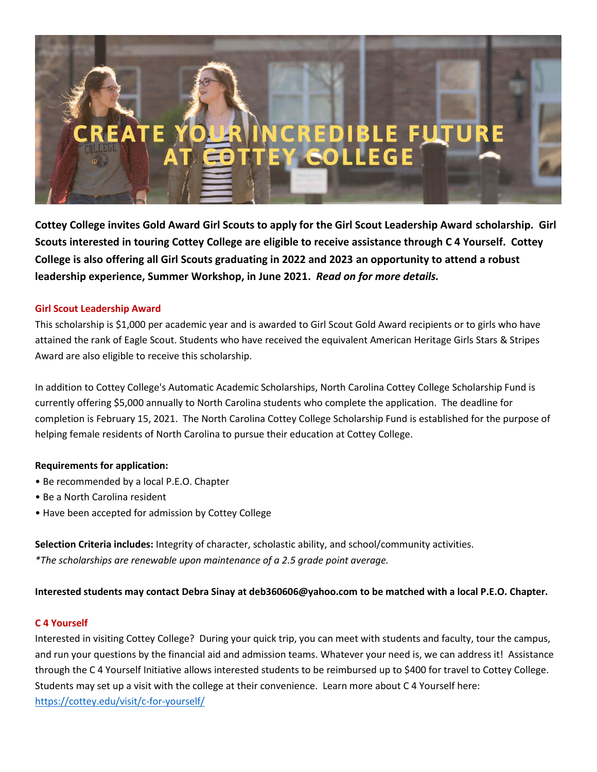**Cottey College invites Gold Award Girl Scouts to apply for the Girl Scout Leadership Award scholarship. Girl Scouts interested in touring Cottey College are eligible to receive assistance through C 4 Yourself. Cottey College is also offering all Girl Scouts graduating in 2022 and 2023 an opportunity to attend a robust leadership experience, Summer Workshop, in June 2021.** *Read on for more details.*

# **Girl Scout Leadership Award**

This scholarship is \$1,000 per academic year and is awarded to Girl Scout Gold Award recipients or to girls who have attained the rank of Eagle Scout. Students who have received the equivalent American Heritage Girls Stars & Stripes Award are also eligible to receive this scholarship.

In addition to Cottey College's Automatic Academic Scholarships, North Carolina Cottey College Scholarship Fund is currently offering \$5,000 annually to North Carolina students who complete the application. The deadline for completion is February 15, 2021. The North Carolina Cottey College Scholarship Fund is established for the purpose of helping female residents of North Carolina to pursue their education at Cottey College.

## **Requirements for application:**

- Be recommended by a local P.E.O. Chapter
- Be a North Carolina resident
- Have been accepted for admission by Cottey College

**Selection Criteria includes:** Integrity of character, scholastic ability, and school/community activities. *\*The scholarships are renewable upon maintenance of a 2.5 grade point average.* 

## **Interested students may contact Debra Sinay at deb360606@yahoo.com to be matched with a local P.E.O. Chapter.**

## **C 4 Yourself**

Interested in visiting Cottey College? During your quick trip, you can meet with students and faculty, tour the campus, and run your questions by the financial aid and admission teams. Whatever your need is, we can address it! Assistance through the C 4 Yourself Initiative allows interested students to be reimbursed up to \$400 for travel to Cottey College. Students may set up a visit with the college at their convenience. Learn more about C 4 Yourself here: <https://cottey.edu/visit/c-for-yourself/>